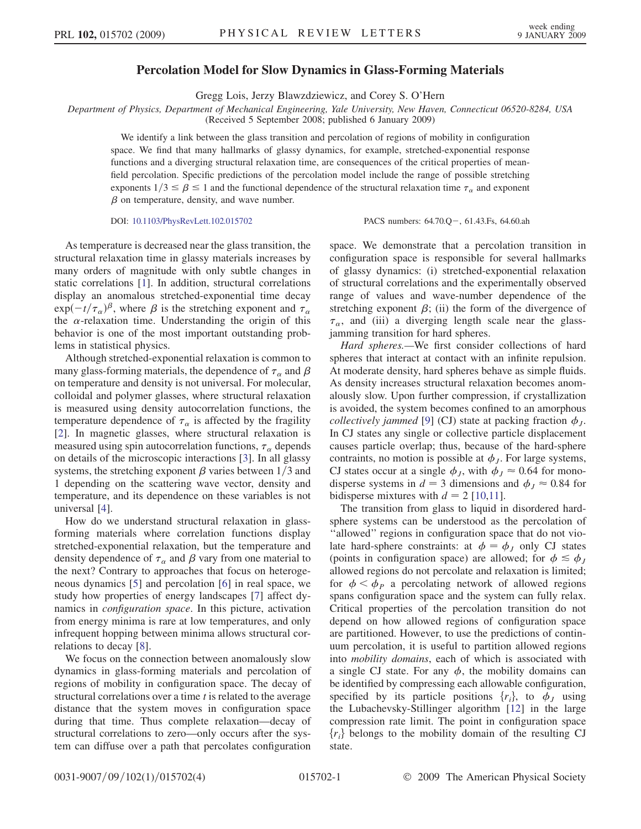## Percolation Model for Slow Dynamics in Glass-Forming Materials

Gregg Lois, Jerzy Blawzdziewicz, and Corey S. O'Hern

Department of Physics, Department of Mechanical Engineering, Yale University, New Haven, Connecticut 06520-8284, USA

(Received 5 September 2008; published 6 January 2009)

We identify a link between the glass transition and percolation of regions of mobility in configuration space. We find that many hallmarks of glassy dynamics, for example, stretched-exponential response functions and a diverging structural relaxation time, are consequences of the critical properties of meanfield percolation. Specific predictions of the percolation model include the range of possible stretching exponents  $1/3 \le \beta \le 1$  and the functional dependence of the structural relaxation time  $\tau_{\alpha}$  and exponent  $\beta$  on temperature density and wave number  $\beta$  on temperature, density, and wave number.

DOI: [10.1103/PhysRevLett.102.015702](http://dx.doi.org/10.1103/PhysRevLett.102.015702)

PACS numbers: 64.70.Q - 61.43.Fs, 64.60.ah

As temperature is decreased near the glass transition, the structural relaxation time in glassy materials increases by many orders of magnitude with only subtle changes in static correlations [1]. In addition, structural correlations display an anomalous stretched-exponential time decay the  $\alpha$ -relaxation time. Understanding the origin of this  $\int_{\alpha}^{t}$   $(\tau_{\alpha})^{\beta}$ , where  $\beta$  is the stretching exponent and  $\tau_{\alpha}$ <br>relaxation time. Understanding the origin of this behavior is one of the most important outstanding problems in statistical physics.

Although stretched-exponential relaxation is common to many glass-forming materials, the dependence of  $\tau_{\alpha}$  and  $\beta$ on temperature and density is not universal. For molecular, colloidal and polymer glasses, where structural relaxation is measured using density autocorrelation functions, the temperature dependence of  $\tau_{\alpha}$  is affected by the fragility [2]. In magnetic glasses, where structural relaxation is measured using spin autocorrelation functions,  $\tau_{\alpha}$  depends on details of the microscopic interactions [3]. In all glassy systems, the stretching exponent  $\beta$  varies between 1/3 and 1 depending on the scattering wave vector, density and temperature, and its dependence on these variables is not universal [4].

How do we understand structural relaxation in glassforming materials where correlation functions display stretched-exponential relaxation, but the temperature and density dependence of  $\tau_{\alpha}$  and  $\beta$  vary from one material to the next? Contrary to approaches that focus on heterogeneous dynamics [5] and percolation [6] in real space, we study how properties of energy landscapes [7] affect dynamics in configuration space. In this picture, activation from energy minima is rare at low temperatures, and only infrequent hopping between minima allows structural correlations to decay [8].

We focus on the connection between anomalously slow dynamics in glass-forming materials and percolation of regions of mobility in configuration space. The decay of structural correlations over a time  $t$  is related to the average distance that the system moves in configuration space during that time. Thus complete relaxation—decay of structural correlations to zero—only occurs after the system can diffuse over a path that percolates configuration space. We demonstrate that a percolation transition in configuration space is responsible for several hallmarks of glassy dynamics: (i) stretched-exponential relaxation of structural correlations and the experimentally observed range of values and wave-number dependence of the stretching exponent  $\beta$ ; (ii) the form of the divergence of  $\tau_{\alpha}$ , and (iii) a diverging length scale near the glassjamming transition for hard spheres.

Hard spheres.—We first consider collections of hard spheres that interact at contact with an infinite repulsion. At moderate density, hard spheres behave as simple fluids. As density increases structural relaxation becomes anomalously slow. Upon further compression, if crystallization is avoided, the system becomes confined to an amorphous *collectively jammed* [9] (CJ) state at packing fraction  $\phi_I$ . In CJ states any single or collective particle displacement causes particle overlap; thus, because of the hard-sphere contraints, no motion is possible at  $\phi_J$ . For large systems, CJ states occur at a single  $\phi_J$ , with  $\phi_J \approx 0.64$  for monodisperse systems in  $d = 3$  dimensions and  $\phi_J \approx 0.84$  for bidisperse mixtures with  $d = 2$  [10,11].

The transition from glass to liquid in disordered hardsphere systems can be understood as the percolation of ''allowed'' regions in configuration space that do not violate hard-sphere constraints: at  $\phi = \phi_J$  only CJ states (points in configuration space) are allowed; for  $\phi \leq \phi_J$ allowed regions do not percolate and relaxation is limited; for  $\phi < \phi_P$  a percolating network of allowed regions spans configuration space and the system can fully relax. Critical properties of the percolation transition do not depend on how allowed regions of configuration space are partitioned. However, to use the predictions of continuum percolation, it is useful to partition allowed regions into mobility domains, each of which is associated with a single CJ state. For any  $\phi$ , the mobility domains can be identified by compressing each allowable configuration, specified by its particle positions  $\{r_i\}$ , to  $\phi_I$  using the Lubachevsky-Stillinger algorithm [12] in the large compression rate limit. The point in configuration space  ${r_i}$  belongs to the mobility domain of the resulting CJ state.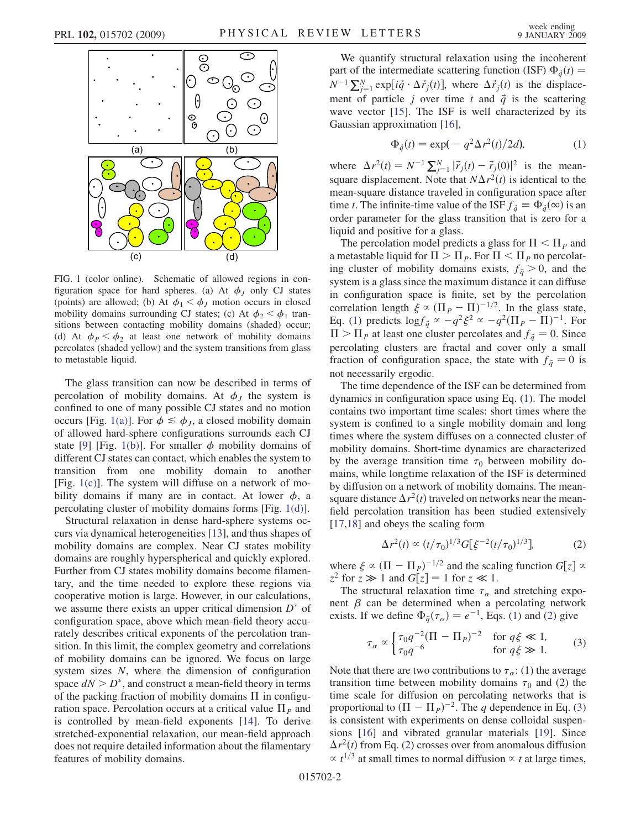

FIG. 1 (color online). Schematic of allowed regions in configuration space for hard spheres. (a) At  $\phi_J$  only CJ states (points) are allowed; (b) At  $\phi_1 < \phi_J$  motion occurs in closed mobility domains surrounding CJ states; (c) At  $\phi_2 < \phi_1$  transitions between contacting mobility domains (shaded) occur; (d) At  $\phi_P < \phi_2$  at least one network of mobility domains percolates (shaded yellow) and the system transitions from glass to metastable liquid.

The glass transition can now be described in terms of percolation of mobility domains. At  $\phi_J$  the system is confined to one of many possible CJ states and no motion occurs [Fig. 1(a)]. For  $\phi \leq \phi_{I}$ , a closed mobility domain of allowed hard-sphere configurations surrounds each CJ state [9] [Fig. 1(b)]. For smaller  $\phi$  mobility domains of different CJ states can contact, which enables the system to transition from one mobility domain to another [Fig. 1(c)]. The system will diffuse on a network of mobility domains if many are in contact. At lower  $\phi$ , a percolating cluster of mobility domains forms [Fig. 1(d)].

Structural relaxation in dense hard-sphere systems occurs via dynamical heterogeneities [13], and thus shapes of mobility domains are complex. Near CJ states mobility domains are roughly hyperspherical and quickly explored. Further from CJ states mobility domains become filamentary, and the time needed to explore these regions via cooperative motion is large. However, in our calculations, we assume there exists an upper critical dimension  $D^*$  of configuration space, above which mean-field theory accurately describes critical exponents of the percolation transition. In this limit, the complex geometry and correlations of mobility domains can be ignored. We focus on large system sizes N, where the dimension of configuration space  $dN > D^*$ , and construct a mean-field theory in terms of the packing fraction of mobility domains  $\Pi$  in configuration space. Percolation occurs at a critical value  $\Pi<sub>P</sub>$  and is controlled by mean-field exponents [14]. To derive stretched-exponential relaxation, our mean-field approach does not require detailed information about the filamentary features of mobility domains.

We quantify structural relaxation using the incoherent part of the intermediate scattering function (ISF)  $\Phi_{\vec{q}}(t) = N^{-1} \nabla^N$  exp[i]  $\Delta^2(\Lambda^2)$  where  $\Delta^2(\Lambda)$  is the displace  $N^{-1} \sum_{j=1}^{N} \exp[i\vec{q} \cdot \Delta \vec{r}_j(t)]$ , where  $\Delta \vec{r}_j(t)$  is the displacement of particle j over time t and  $\vec{q}$  is the scattering wave vector [15]. The ISF is well characterized by its Gaussian approximation [16],

$$
\Phi_{\tilde{q}}(t) = \exp(-q^2 \Delta r^2(t)/2d),\tag{1}
$$

<span id="page-1-0"></span>where  $\Delta r^2(t) = N^{-1} \sum_{j=1}^N |\vec{r}_j(t) - \vec{r}_j(0)|^2$  is the mean-<br>square displacement. Note that  $NA$   $x^2(t)$  is identical to the square displacement. Note that  $N\Delta r^2(t)$  is identical to the mean-square distance traveled in configuration space after time t. The infinite-time value of the ISF  $f_{\vec{q}} \equiv \Phi_{\vec{q}}(\infty)$  is an order parameter for the glass transition that is zero for a order parameter for the glass transition that is zero for a liquid and positive for a glass.

The percolation model predicts a glass for  $\Pi < \Pi_p$  and a metastable liquid for  $\Pi > \Pi_P$ . For  $\Pi < \Pi_P$  no percolating cluster of mobility domains exists,  $f_{\vec{q}} > 0$ , and the system is a glass since the maximum distance it can diffuse in configuration space is finite, set by the percolation correlation length  $\xi \propto (\Pi_P - \Pi)^{-1/2}$ . In the glass state,<br>  $F_a$  (1) predicts  $\log f_\tau \propto -a^2 \xi^2 \propto -a^2 (\Pi_B - \Pi)^{-1}$  For Eq. [\(1](#page-1-0)) predicts  $\log f_{\vec{q}} \propto -q^2 \xi^2 \propto -q^2 (\Pi_P - \Pi)^{-1}$ . For  $\Pi > \prod_P$  at least one cluster percolates and  $f_{\vec{q}} = 0$ . Since percolating clusters are fractal and cover only a small fraction of configuration space, the state with  $f_{\vec{q}} = 0$  is not necessarily ergodic.

The time dependence of the ISF can be determined from dynamics in configuration space using Eq. [\(1\)](#page-1-0). The model contains two important time scales: short times where the system is confined to a single mobility domain and long times where the system diffuses on a connected cluster of mobility domains. Short-time dynamics are characterized by the average transition time  $\tau_0$  between mobility do-<br>mains, while longtime relaxation of the ISE is determined mains, while longtime relaxation of the ISF is determined by diffusion on a network of mobility domains. The meansquare distance  $\Delta r^2(t)$  traveled on networks near the meanfield percolation transition has been studied extensively [17,18] and obeys the scaling form

$$
\Delta r^2(t) \propto (t/\tau_0)^{1/3} G[\xi^{-2}(t/\tau_0)^{1/3}], \tag{2}
$$

<span id="page-1-1"></span>where  $\xi \propto (\Pi - \Pi_P)^{-1/2}$  and the scaling function  $G[z] \propto z^2$  for  $z \gg 1$  and  $G[z] = 1$  for  $z \ll 1$ where  $\xi \propto (H - H_P)^{-1/2}$  and the scal<br>  $z^2$  for  $z \gg 1$  and  $G[z] = 1$  for  $z \ll 1$ .<br>
The structural relaxation time  $\tau$ 

<span id="page-1-2"></span>The structural relaxation time  $\tau_{\alpha}$  and stretching exponent  $\beta$  can be determined when a percolating network exists. If we define  $\Phi_{\bar{q}}(\tau_{\alpha}) = e^{-1}$ , Eqs. ([1\)](#page-1-0) and [\(2](#page-1-1)) give

$$
\tau_{\alpha} \propto \begin{cases} \tau_0 q^{-2} (\Pi - \Pi_P)^{-2} & \text{for } q \xi \ll 1, \\ \tau_0 q^{-6} & \text{for } q \xi \gg 1. \end{cases} \tag{3}
$$

Note that there are two contributions to  $\tau_{\alpha}$ : (1) the average transition time between mobility domains  $\tau_0$  and (2) the time scale for diffusion on percolating networks that is time scale for diffusion on percolating networks that is proportional to  $(\Pi - \Pi_P)^{-2}$ . The q dependence in Eq. [\(3\)](#page-1-2) is consistent with experiments on dense colloidal suspenis consistent with experiments on dense colloidal suspensions [16] and vibrated granular materials [19]. Since  $\Delta r^2(t)$  from Eq. [\(2](#page-1-1)) crosses over from anomalous diffusion  $\propto t^{1/3}$  at small times to normal diffusion  $\propto t$  at large times,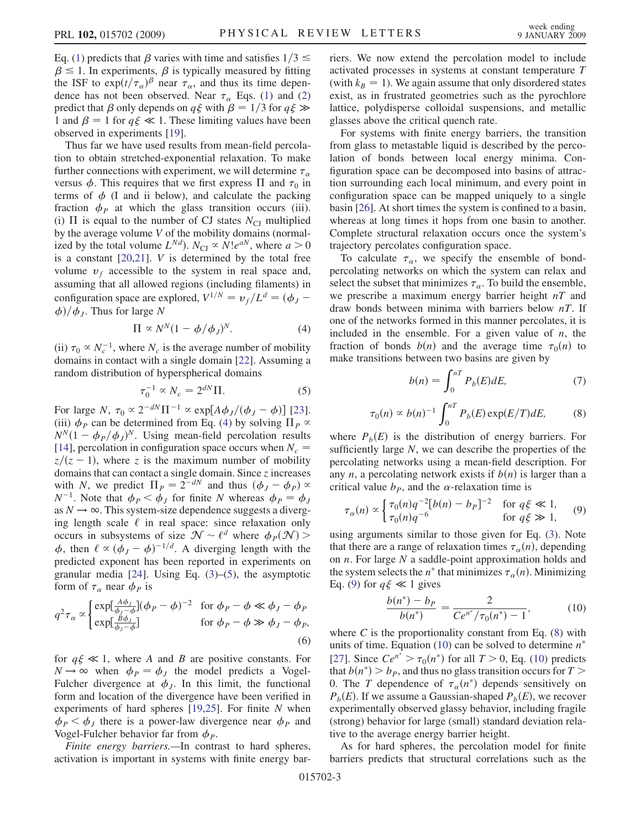Eq. [\(1](#page-1-0)) predicts that  $\beta$  varies with time and satisfies  $1/3 \leq$  $\beta \leq 1$ . In experiments,  $\beta$  is typically measured by fitting the ISF to  $\exp(t/\tau_{\alpha})^{\beta}$  near  $\tau_{\alpha}$ , and thus its time depen-<br>dence has not been observed. Near  $\tau$ . Eqs. (1) and (2) dence has not been observed. Near  $\tau_{\alpha}$  Eqs. [\(1](#page-1-0)) and [\(2\)](#page-1-1) predict that  $\beta$  only depends on  $q\xi$  with  $\beta = 1/3$  for  $q\xi \gg$ 1 and  $\beta = 1$  for  $q\xi \ll 1$ . These limiting values have been observed in experiments [19].

Thus far we have used results from mean-field percolation to obtain stretched-exponential relaxation. To make further connections with experiment, we will determine  $\tau_{\alpha}$ versus  $\phi$ . This requires that we first express  $\Pi$  and  $\tau_0$  in terms of  $\phi$  (I and ii below) and calculate the packing terms of  $\phi$  (I and ii below), and calculate the packing fraction  $\phi_P$  at which the glass transition occurs (iii). (i)  $\Pi$  is equal to the number of CJ states  $N_{\text{CI}}$  multiplied by the average volume V of the mobility domains (normalized by the total volume  $L^{Nd}$ ).  $N_{\text{CI}} \propto N! e^{aN}$ , where  $a > 0$ is a constant  $[20,21]$ . *V* is determined by the total free volume  $v_f$  accessible to the system in real space and, assuming that all allowed regions (including filaments) in configuration space are explored,  $V^{1/N} = v_f/L^d = (\phi_J - \phi_c)/\phi_c$ . Thus for large N  $\phi$ / $\phi$ <sub>*J*</sub>. Thus for large N

$$
\Pi \propto N^N (1 - \phi/\phi_J)^N. \tag{4}
$$

<span id="page-2-0"></span>(ii)  $\tau_0 \propto N_c^{-1}$ , where  $N_c$  is the average number of mobility domains in contact with a single domain [22]. Assuming a domains in contact with a single domain [22]. Assuming a random distribution of hyperspherical domains

$$
\tau_0^{-1} \propto N_c = 2^{dN} \Pi. \tag{5}
$$

<span id="page-2-1"></span>For large N,  $\tau_0 \propto 2^{-dN} \Pi^{-1} \propto \exp[A\phi_J/(\phi_J - \phi)]$  [23].<br>(iii)  $\phi_p$  can be determined from Eq. (4) by solving  $\Pi_p \propto$ For large  $N$ ,  $\tau_0 \propto 2^{-m} \Pi^{-1} \propto \exp[A\varphi_J/(\varphi_J - \varphi_J)]$  [25].<br>(iii)  $\varphi_P$  can be determined from Eq. ([4](#page-2-0)) by solving  $\Pi_P \propto N^N (1 - \varphi_D/\varphi_J)^N$ . Using mean-field percolation results  $N^N(1 - \phi_P/\phi_J)^N$ . Using mean-field percolation results<br>[14] percolation in configuration space occurs when  $N =$ [14], percolation in configuration space occurs when  $N_c = \frac{z}{(z-1)}$  where z is the maximum number of mobility  $\overline{z}/(\overline{z}-1)$ , where z is the maximum number of mobility<br>domains that can contact a single domain. Since z increases domains that can contact a single domain. Since z increases with N, we predict  $\Pi_P = 2^{-dN}$  and thus  $(\phi_J - \phi_P) \propto N^{-1}$  Note that  $\phi_D \le \phi$ , for finite N whereas  $\phi_D = \phi_D$  $N^{-1}$ . Note that  $\phi_P < \dot{\phi}_J$  for finite N whereas  $\phi_P = \phi_J$ <br>as  $N \to \infty$ . This system-size dependence suggests a divergas  $N \rightarrow \infty$ . This system-size dependence suggests a diverging length scale  $\ell$  in real space: since relaxation only occurs in subsystems of size  $\mathcal{N} \sim \ell^d$  where  $\phi_P(\mathcal{N}) >$  $\phi$ , then  $\ell \propto (\dot{\phi}_J - \phi)^{-1/d}$ . A diverging length with the predicted exponent has been reported in experiments on predicted exponent has been reported in experiments on granular media [24]. Using Eq. ([3\)](#page-1-2)–[\(5](#page-2-1)), the asymptotic form of  $\tau_\alpha$  near  $\phi_P$  is

$$
q^{2}\tau_{\alpha} \propto \begin{cases} \exp[\frac{A\phi_{J}}{\phi_{J}-\phi}](\phi_{P}-\phi)^{-2} & \text{for } \phi_{P}-\phi \ll \phi_{J}-\phi_{P} \\ \exp[\frac{B\phi_{J}}{\phi_{J}-\phi}] & \text{for } \phi_{P}-\phi \gg \phi_{J}-\phi_{P}, \end{cases}
$$
(6)

for  $q\xi \ll 1$ , where A and B are positive constants. For  $N \rightarrow \infty$  when  $\phi_P = \phi_J$  the model predicts a Vogel-Fulcher divergence at  $\phi_j$ . In this limit, the functional form and location of the divergence have been verified in experiments of hard spheres  $[19,25]$ . For finite N when  $\phi_P < \phi_J$  there is a power-law divergence near  $\phi_P$  and Vogel-Fulcher behavior far from  $\phi_P$ .

Finite energy barriers.—In contrast to hard spheres, activation is important in systems with finite energy barriers. We now extend the percolation model to include activated processes in systems at constant temperature T (with  $k_B = 1$ ). We again assume that only disordered states exist, as in frustrated geometries such as the pyrochlore lattice, polydisperse colloidal suspensions, and metallic glasses above the critical quench rate.

For systems with finite energy barriers, the transition from glass to metastable liquid is described by the percolation of bonds between local energy minima. Configuration space can be decomposed into basins of attraction surrounding each local minimum, and every point in configuration space can be mapped uniquely to a single basin [26]. At short times the system is confined to a basin, whereas at long times it hops from one basin to another. Complete structural relaxation occurs once the system's trajectory percolates configuration space.

To calculate  $\tau_{\alpha}$ , we specify the ensemble of bondpercolating networks on which the system can relax and select the subset that minimizes  $\tau_{\alpha}$ . To build the ensemble, we prescribe a maximum energy barrier height  $nT$  and draw bonds between minima with barriers below  $nT$ . If one of the networks formed in this manner percolates, it is included in the ensemble. For a given value of  $n$ , the fraction of bonds  $b(n)$  and the average time  $\tau_0(n)$  to make transitions between two basins are given by make transitions between two basins are given by

$$
b(n) = \int_0^{nT} P_b(E) dE,\tag{7}
$$

<span id="page-2-3"></span>
$$
\tau_0(n) \propto b(n)^{-1} \int_0^{nT} P_b(E) \exp(E/T) dE,
$$
 (8)

where  $P_b(E)$  is the distribution of energy barriers. For sufficiently large N, we can describe the properties of the sufficiently large  $N$ , we can describe the properties of the percolating networks using a mean-field description. For any *n*, a percolating network exists if  $b(n)$  is larger than a critical value  $b<sub>P</sub>$ , and the  $\alpha$ -relaxation time is

<span id="page-2-2"></span>
$$
\tau_{\alpha}(n) \propto \begin{cases} \tau_0(n)q^{-2}[b(n) - b_P]^{-2} & \text{for } q \xi \ll 1, \\ \tau_0(n)q^{-6} & \text{for } q \xi \gg 1, \end{cases} \tag{9}
$$

using arguments similar to those given for Eq. [\(3\)](#page-1-2). Note that there are a range of relaxation times  $\tau_{\alpha}(n)$ , depending<br>on *n*. For large *N* a saddle-point approximation holds and on n. For large N a saddle-point approximation holds and the system selects the *n*<sup>\*</sup> that minimizes  $\tau_{\alpha}(n)$ . Minimizing<br>Eq. (9) for  $a \notin \mathcal{L}$  i gives Eq. ([9\)](#page-2-2) for  $q\xi \ll 1$  gives

<span id="page-2-4"></span>
$$
\frac{b(n^*) - b_P}{b(n^*)} = \frac{2}{Ce^{n^*}/\tau_0(n^*) - 1},
$$
 (10)  
where *C* is the proportionality constant from Eq. (8) with

units of time. Equation ([10](#page-2-4)) can be solved to determine  $n^*$ [27]. Since  $Ce^{n^*} > \tau_0(n^*)$  for all  $T > 0$ , Eq. ([10](#page-2-4)) predicts that  $b(n^*) > b_0$  and thus no glass transition occurs for  $T > 0$ that  $b(n^*) > b_p$ , and thus no glass transition occurs for  $T >$ 0. The T dependence of  $\tau_{\alpha}(n^*)$  depends sensitively on  $P_1(F)$ . If we assume a Gaussian-shaped  $P_1(F)$  we recover  $P_b(E)$ . If we assume a Gaussian-shaped  $P_b(E)$ , we recover experimentally observed glassy behavior, including fragile (strong) behavior for large (small) standard deviation relative to the average energy barrier height.

As for hard spheres, the percolation model for finite barriers predicts that structural correlations such as the